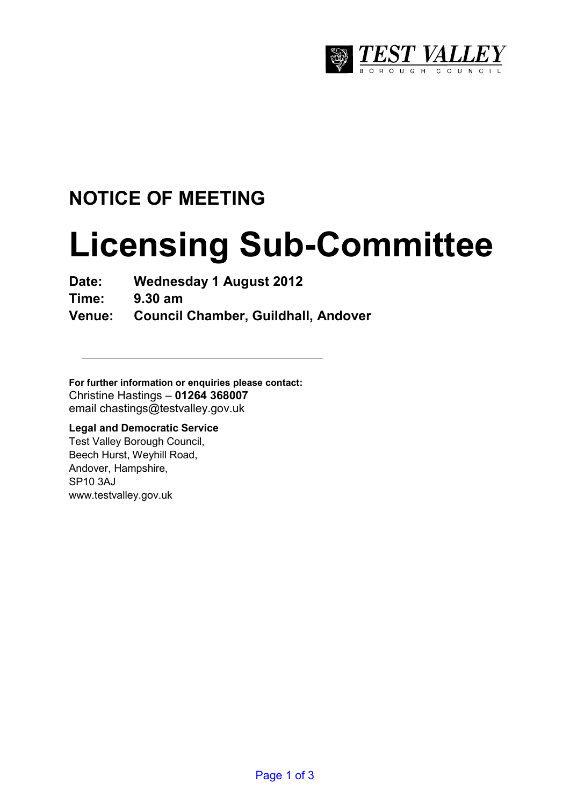

# **NOTICE OF MEETING**

# **Licensing Sub-Committee**

**Date: Wednesday 1 August 2012** 

**Time: 9.30 am** 

**Venue: Council Chamber, Guildhall, Andover** 

**For further information or enquiries please contact:**  Christine Hastings – **01264 368007** email chastings@testvalley.gov.uk

#### **Legal and Democratic Service**

Test Valley Borough Council, Beech Hurst, Weyhill Road, Andover, Hampshire, SP10 3AJ www.testvalley.gov.uk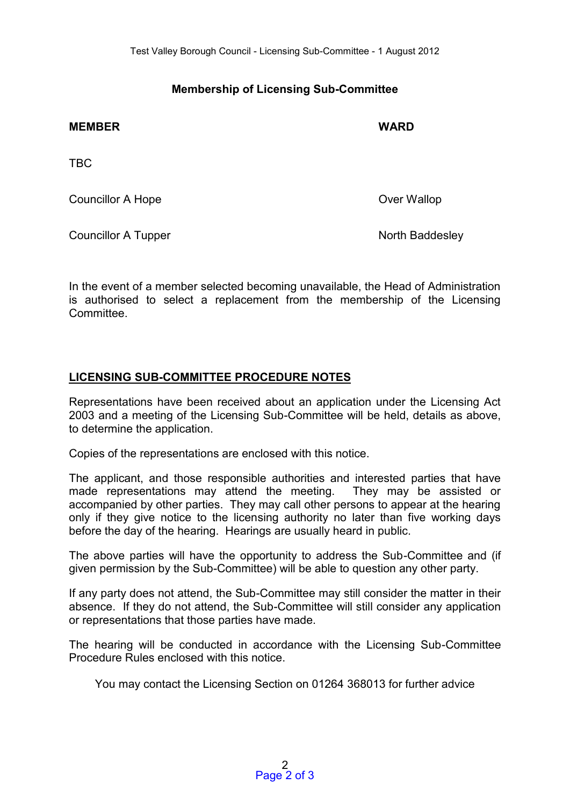## **Membership of Licensing Sub-Committee**

| <b>MEMBER</b>              | <b>WARD</b>     |
|----------------------------|-----------------|
| <b>TBC</b>                 |                 |
| <b>Councillor A Hope</b>   | Over Wallop     |
| <b>Councillor A Tupper</b> | North Baddesley |

In the event of a member selected becoming unavailable, the Head of Administration is authorised to select a replacement from the membership of the Licensing **Committee.** 

#### **LICENSING SUB-COMMITTEE PROCEDURE NOTES**

Representations have been received about an application under the Licensing Act 2003 and a meeting of the Licensing Sub-Committee will be held, details as above, to determine the application.

Copies of the representations are enclosed with this notice.

The applicant, and those responsible authorities and interested parties that have made representations may attend the meeting. They may be assisted or accompanied by other parties. They may call other persons to appear at the hearing only if they give notice to the licensing authority no later than five working days before the day of the hearing. Hearings are usually heard in public.

The above parties will have the opportunity to address the Sub-Committee and (if given permission by the Sub-Committee) will be able to question any other party.

If any party does not attend, the Sub-Committee may still consider the matter in their absence. If they do not attend, the Sub-Committee will still consider any application or representations that those parties have made.

The hearing will be conducted in accordance with the Licensing Sub-Committee Procedure Rules enclosed with this notice.

You may contact the Licensing Section on 01264 368013 for further advice